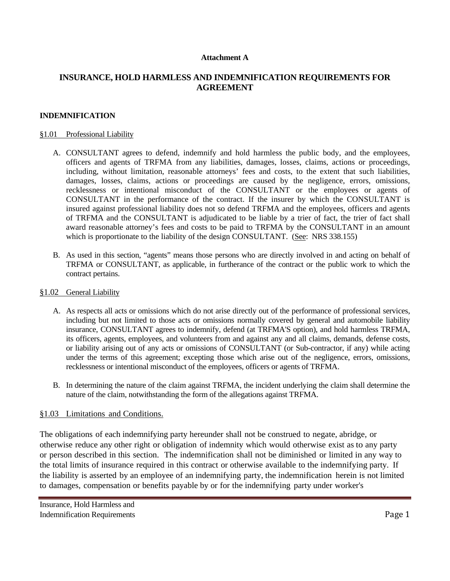### **Attachment A**

# **INSURANCE, HOLD HARMLESS AND INDEMNIFICATION REQUIREMENTS FOR AGREEMENT**

### **INDEMNIFICATION**

#### §1.01 Professional Liability

- A. CONSULTANT agrees to defend, indemnify and hold harmless the public body, and the employees, officers and agents of TRFMA from any liabilities, damages, losses, claims, actions or proceedings, including, without limitation, reasonable attorneys' fees and costs, to the extent that such liabilities, damages, losses, claims, actions or proceedings are caused by the negligence, errors, omissions, recklessness or intentional misconduct of the CONSULTANT or the employees or agents of CONSULTANT in the performance of the contract. If the insurer by which the CONSULTANT is insured against professional liability does not so defend TRFMA and the employees, officers and agents of TRFMA and the CONSULTANT is adjudicated to be liable by a trier of fact, the trier of fact shall award reasonable attorney's fees and costs to be paid to TRFMA by the CONSULTANT in an amount which is proportionate to the liability of the design CONSULTANT. (See: NRS 338.155)
- B. As used in this section, "agents" means those persons who are directly involved in and acting on behalf of TRFMA or CONSULTANT, as applicable, in furtherance of the contract or the public work to which the contract pertains.

#### §1.02 General Liability

- A. As respects all acts or omissions which do not arise directly out of the performance of professional services, including but not limited to those acts or omissions normally covered by general and automobile liability insurance, CONSULTANT agrees to indemnify, defend (at TRFMA'S option), and hold harmless TRFMA, its officers, agents, employees, and volunteers from and against any and all claims, demands, defense costs, or liability arising out of any acts or omissions of CONSULTANT (or Sub-contractor, if any) while acting under the terms of this agreement; excepting those which arise out of the negligence, errors, omissions, recklessness or intentional misconduct of the employees, officers or agents of TRFMA.
- B. In determining the nature of the claim against TRFMA, the incident underlying the claim shall determine the nature of the claim, notwithstanding the form of the allegations against TRFMA.

### §1.03 Limitations and Conditions.

The obligations of each indemnifying party hereunder shall not be construed to negate, abridge, or otherwise reduce any other right or obligation of indemnity which would otherwise exist as to any party or person described in this section. The indemnification shall not be diminished or limited in any way to the total limits of insurance required in this contract or otherwise available to the indemnifying party. If the liability is asserted by an employee of an indemnifying party, the indemnification herein is not limited to damages, compensation or benefits payable by or for the indemnifying party under worker's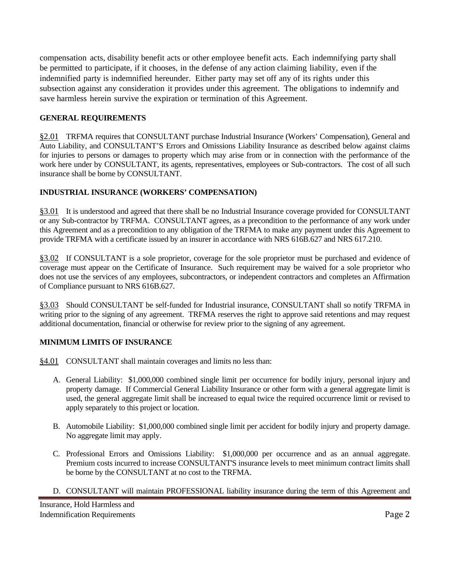compensation acts, disability benefit acts or other employee benefit acts. Each indemnifying party shall be permitted to participate, if it chooses, in the defense of any action claiming liability, even if the indemnified party is indemnified hereunder. Either party may set off any of its rights under this subsection against any consideration it provides under this agreement. The obligations to indemnify and save harmless herein survive the expiration or termination of this Agreement.

# **GENERAL REQUIREMENTS**

§2.01 TRFMA requires that CONSULTANT purchase Industrial Insurance (Workers' Compensation), General and Auto Liability, and CONSULTANT'S Errors and Omissions Liability Insurance as described below against claims for injuries to persons or damages to property which may arise from or in connection with the performance of the work here under by CONSULTANT, its agents, representatives, employees or Sub-contractors. The cost of all such insurance shall be borne by CONSULTANT.

# **INDUSTRIAL INSURANCE (WORKERS' COMPENSATION)**

§3.01 It is understood and agreed that there shall be no Industrial Insurance coverage provided for CONSULTANT or any Sub-contractor by TRFMA. CONSULTANT agrees, as a precondition to the performance of any work under this Agreement and as a precondition to any obligation of the TRFMA to make any payment under this Agreement to provide TRFMA with a certificate issued by an insurer in accordance with NRS 616B.627 and NRS 617.210.

§3.02 If CONSULTANT is a sole proprietor, coverage for the sole proprietor must be purchased and evidence of coverage must appear on the Certificate of Insurance. Such requirement may be waived for a sole proprietor who does not use the services of any employees, subcontractors, or independent contractors and completes an Affirmation of Compliance pursuant to NRS 616B.627.

§3.03 Should CONSULTANT be self-funded for Industrial insurance, CONSULTANT shall so notify TRFMA in writing prior to the signing of any agreement. TRFMA reserves the right to approve said retentions and may request additional documentation, financial or otherwise for review prior to the signing of any agreement.

# **MINIMUM LIMITS OF INSURANCE**

- §4.01 CONSULTANT shall maintain coverages and limits no less than:
	- A. General Liability: \$1,000,000 combined single limit per occurrence for bodily injury, personal injury and property damage. If Commercial General Liability Insurance or other form with a general aggregate limit is used, the general aggregate limit shall be increased to equal twice the required occurrence limit or revised to apply separately to this project or location.
	- B. Automobile Liability: \$1,000,000 combined single limit per accident for bodily injury and property damage. No aggregate limit may apply.
	- C. Professional Errors and Omissions Liability: \$1,000,000 per occurrence and as an annual aggregate. Premium costs incurred to increase CONSULTANT'S insurance levels to meet minimum contract limits shall be borne by the CONSULTANT at no cost to the TRFMA.
	- D. CONSULTANT will maintain PROFESSIONAL liability insurance during the term of this Agreement and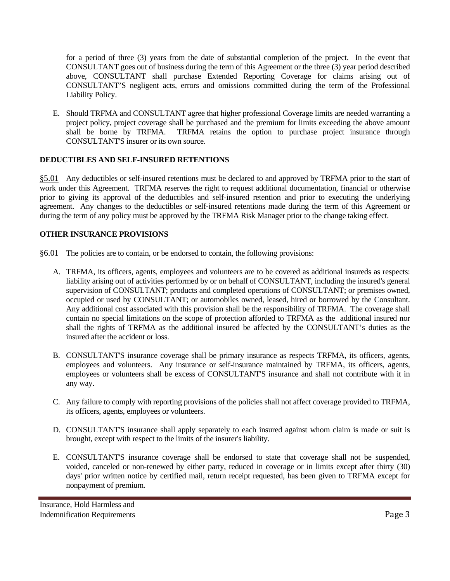for a period of three (3) years from the date of substantial completion of the project. In the event that CONSULTANT goes out of business during the term of this Agreement or the three (3) year period described above, CONSULTANT shall purchase Extended Reporting Coverage for claims arising out of CONSULTANT'S negligent acts, errors and omissions committed during the term of the Professional Liability Policy.

E. Should TRFMA and CONSULTANT agree that higher professional Coverage limits are needed warranting a project policy, project coverage shall be purchased and the premium for limits exceeding the above amount shall be borne by TRFMA. TRFMA retains the option to purchase project insurance through CONSULTANT'S insurer or its own source.

# **DEDUCTIBLES AND SELF-INSURED RETENTIONS**

§5.01 Any deductibles or self-insured retentions must be declared to and approved by TRFMA prior to the start of work under this Agreement. TRFMA reserves the right to request additional documentation, financial or otherwise prior to giving its approval of the deductibles and self-insured retention and prior to executing the underlying agreement. Any changes to the deductibles or self-insured retentions made during the term of this Agreement or during the term of any policy must be approved by the TRFMA Risk Manager prior to the change taking effect.

## **OTHER INSURANCE PROVISIONS**

- §6.01 The policies are to contain, or be endorsed to contain, the following provisions:
	- A. TRFMA, its officers, agents, employees and volunteers are to be covered as additional insureds as respects: liability arising out of activities performed by or on behalf of CONSULTANT, including the insured's general supervision of CONSULTANT; products and completed operations of CONSULTANT; or premises owned, occupied or used by CONSULTANT; or automobiles owned, leased, hired or borrowed by the Consultant. Any additional cost associated with this provision shall be the responsibility of TRFMA. The coverage shall contain no special limitations on the scope of protection afforded to TRFMA as the additional insured nor shall the rights of TRFMA as the additional insured be affected by the CONSULTANT's duties as the insured after the accident or loss.
	- B. CONSULTANT'S insurance coverage shall be primary insurance as respects TRFMA, its officers, agents, employees and volunteers. Any insurance or self-insurance maintained by TRFMA, its officers, agents, employees or volunteers shall be excess of CONSULTANT'S insurance and shall not contribute with it in any way.
	- C. Any failure to comply with reporting provisions of the policies shall not affect coverage provided to TRFMA, its officers, agents, employees or volunteers.
	- D. CONSULTANT'S insurance shall apply separately to each insured against whom claim is made or suit is brought, except with respect to the limits of the insurer's liability.
	- E. CONSULTANT'S insurance coverage shall be endorsed to state that coverage shall not be suspended, voided, canceled or non-renewed by either party, reduced in coverage or in limits except after thirty (30) days' prior written notice by certified mail, return receipt requested, has been given to TRFMA except for nonpayment of premium.